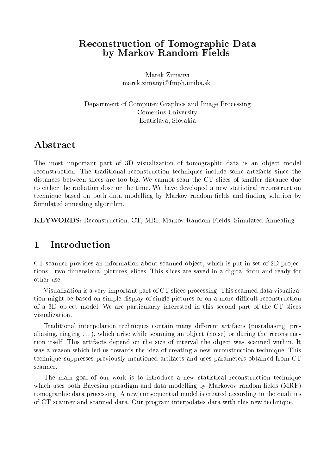## Reconstruction of Tomographic Data by Markov Random Fields

Marek Zimanyi marek.zimanyi@fmph.uniba.sk

Department of Computer Graphics and Image Processing Comenius University Bratislava, Slovakia

# Abstract

The most important part of 3D visualization of tomographic data is an object model reconstruction. The traditional reconstruction techniques include some artefacts since the distances between slices are too big. We cannot scan the CT slices of smaller distance due to either the radiation dose or the time. We have developed a new statistical reconstruction technique based on both data modelling by Markov random fields and finding solution by Simulated annealing algorithm.

KEYWORDS: Reconstruction, CT, MRI, Markov Random Fields, Simulated Annealing

# 1 Introduction

CT scanner provides an information about scanned object, which is put in set of  $2D$  projections - two dimensional pictures, slices. This slices are saved in a digital form and ready for

Visualization is a very important part of CT slices processing. This scanned data visualization might be based on simple display of single pictures or on a more difficult reconstruction of a 3D ob ject model. We are particularly interested in this second part of the CT slices visualization.

Traditional interpolation techniques contain many different artifacts (postaliasing, prealiasing, ringing  $\dots$ ), which arise while scanning an object (noise) or during the reconstruction itself. This artifacts depend on the size of interval the object was scanned within. It was a reason which led us towards the idea of creating a new reconstruction technique. This technique suppresses previously mentioned artifacts and uses parameters obtained from CT

The main goal of our work is to introduce a new statistical reconstruction technique which uses both Bayesian paradigm and data modelling by Markovov random fields (MRF) tomographic data processing. A new consequential model is created according to the qualities of CT scanner and scanned data. Our program interpolates data with this new technique.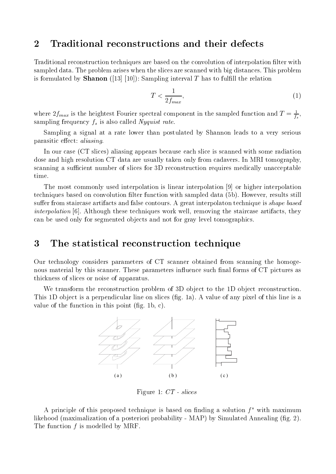### 2 Traditional reconstructions and their defects

Traditional reconstruction techniques are based on the convolution of interpolation lter with sampled data. The problem arises when the slices are scanned with big distances. This problem is formulated by **Shanon** ([13] [10]): Sampling interval T has to fulfill the relation

$$
T < \frac{1}{2f_{max}},\tag{1}
$$

where  $\Delta f_{max}$  is the heightest Fourier spectral component in the sampled function and  $T = \frac{1}{T}$ , is a series of the series of the series of the series of the series of the series of the series of the series sampling frequency fs is also called Nyquist rate.

Sampling a signal at a rate lower than postulated by Shannon leads to a very serious parasitic effect: *aliasing*.

In our case (CT slices) aliasing appears because each slice is scanned with some radiation dose and high resolution CT data are usually taken only from cadavers. In MRI tomography, scanning a sufficient number of slices for 3D reconstruction requires medically unacceptable time.

The most commonly used interpolation is linear interpolation [9] or higher interpolation techniques based on convolution filter function with sampled data (5b). However, results still suffer from staircase artifacts and false contours. A great interpolaton technique is *shape based* interpolation [6]. Although these techniques work well, removing the staircase artifacts, they can be used only for segmented objects and not for gray level tomographics.

### 3 The statistical reconstruction technique

Our technology considers parameters of CT scanner obtained from scanning the homogenous material by this scanner. These parameters influence such final forms of CT pictures as thickness of slices or noise of apparatus.

We transform the reconstruction problem of 3D object to the 1D object reconstruction. This 1D object is a perpendicular line on slices (fig. 1a). A value of any pixel of this line is a value of the function in this point  $(f \nvert g, 1b, c)$ .



Figure 1: CT - slices

A principle of this proposed technique is based on finding a solution  $f^*$  with maximum likehood (maximalization of a posteriori probability - MAP) by Simulated Annealing (fig. 2). The function  $f$  is modelled by MRF.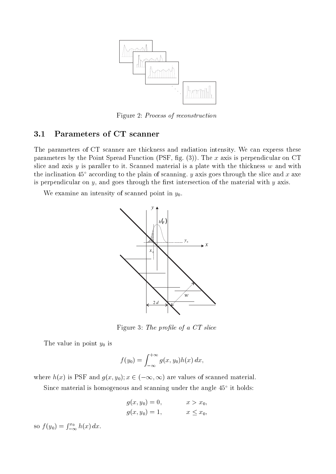

Figure 2: Process of reconstruction

#### 3.1Parameters of CT scanner

The parameters of CT scanner are thickness and radiation intensity. We can express these parameters by the Point Spread Function (PSF, fig.  $(3)$ ). The x axis is perpendicular on CT slice and axis  $y$  is paraller to it. Scanned material is a plate with the thickness  $w$  and with the inclination  $45^{\circ}$  according to the plain of scanning. y axis goes through the slice and x axe is perpendicular on  $y$ , and goes through the first intersection of the material with  $y$  axis.

We examine an intensity of scanned point in  $y_0$ .



Figure 3: The profile of a CT slice

The value in point  $y_0$  is

$$
f(y_0) = \int_{-\infty}^{+\infty} g(x, y_0) h(x) dx,
$$

where  $h(x)$  is PSF and  $g(x, y_0); x \in (-\infty, \infty)$  are values of scanned material.

Since material is homogenous and scanning under the angle 45 it holds:

$$
g(x, y_0) = 0,
$$
  $x > x_0,$   
\n $g(x, y_0) = 1,$   $x \le x_0,$ 

so  $f(y_0) = \int_{-\infty}^{x_0} h(x) dx$ .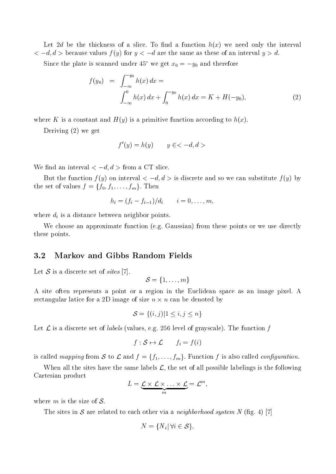Let 2d be the thickness of a slice. To find a function  $h(x)$  we need only the interval  $<-d, d>$  because values  $f(y)$  for  $y<-d$  are the same as these of an interval  $y>d$ .

Since the plate is scanned under 45° we get  $x_0 = -y_0$  and therefore

$$
f(y_0) = \int_{-\infty}^{-y_0} h(x) dx =
$$
  

$$
\int_{-\infty}^{0} h(x) dx + \int_{0}^{-y_0} h(x) dx = K + H(-y_0),
$$
 (2)

where K is a constant and  $H(y)$  is a primitive function according to  $h(x)$ .

Deriving (2) we get

$$
f'(y) = h(y) \qquad y \in < -d, d >
$$

We find an interval  $<-d, d>$  from a CT slice.

But the function  $f(y)$  on interval  $\langle -d, d \rangle$  is discrete and so we can substitute  $f(y)$  by the set of values  $f = \{f_0, f_1, \ldots, f_m\}$ . Then

$$
h_i=(f_i-f_{i-1})/d_i\qquad i=0,\ldots,m,
$$

where different is a distance between neighbor points. The distance between  $\Omega$  is a distance between  $\Omega$ 

We choose an approximate function (e.g. Gaussian) from these points or we use directly these points.

#### 3.2Markov and Gibbs Random Fields

Let S is a discrete set of sites [7].

 $\mathcal{S} = \{1,\ldots,m\}$ 

A site often represents a point or a region in the Euclidean space as an image pixel. A rectangular latice for a 2D image of size <sup>n</sup> - n can be denoted by

$$
\mathcal{S} = \{(i, j) | 1 \le i, j \le n\}
$$

Let L is a discrete set of labels (values, e.g. 256 level of grayscale). The function <sup>f</sup>

$$
f: \mathcal{S} \mapsto \mathcal{L} \qquad f_i = f(i)
$$

is called mapping from S to L and  $f = \{f_1, \ldots, f_m\}$ . Function f is also called *configuration*.

When all the sites have the same labels  $\mathcal{L}$ , the set of all possible labelings is the following Cartesian product

$$
L=\underbrace{\mathcal{L}\times\mathcal{L}\times\ldots\times\mathcal{L}}_m=\mathcal{L}^m,
$$

where  $m$  is the size of  $S$ .

The sites in S are related to each other via a neighborhood system <sup>N</sup> (g. 4) [7]

$$
N = \{ N_i | \, \forall i \in \mathcal{S} \},
$$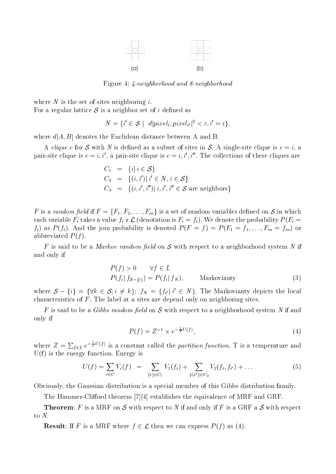

Figure 4: 4-neighborhood and 8-neighborhood

where  $N$  is the set of sites neighboring i. For a regular lattice  $S$  is a neighbor set of i defined as

$$
N = \{i' \in \mathcal{S} \mid d|pixel_i, pixel_{i'}|^2 < r, i' = i\},\
$$

where  $d[A, B]$  denotes the Euclidean distance between A and B.

A clique c for S with <sup>N</sup> is dened asa subset of sites in S. <sup>A</sup> single-site clique is <sup>c</sup> <sup>=</sup> i, <sup>a</sup> pair-site clique is  $c = i, i'$ , a pair-site clique is  $c = i, i', i''$ . The collections of these cliques are

$$
C_1 = \{i | i \in S\}
$$
  
\n
$$
C_2 = \{(i, i') | i' \in N, i \in S\}
$$
  
\n
$$
C_3 = \{(i, i', i'') | i, i', i'' \in S \text{ are neighbors}\}
$$

F is a random field if  $F = \{F_1, F_2, \ldots, F_m\}$  is a set of random variables defined on S in which each variable field variable field  $\mu$  and  $\mu$  and  $\mu$  is Fig. . We denote the probability  $P$  (Fig. ) where  $\mu$  $f_i$ ) as  $P(f_i)$ . And the join probability is denoted  $P(F = f) = P(F_1 = f_1, \ldots, F_m = f_m)$  or abbreviated  $P(f)$ .

F is said to be a Markov random eld on S with respect to a neighborhood system  $N$  if  $N$  if  $N$  if  $N$  if  $N$  if  $N$  if  $N$  if  $N$  if  $N$  if  $N$  if  $N$  if  $N$  if  $N$  if  $N$  if  $N$  if  $N$  if  $N$  if  $N$  if  $N$  if  $N$  if  $N$ and only if

$$
P(f) > 0 \quad \forall f \in L
$$
  
 
$$
P(f_i | f_{\mathcal{S} - \{i\}}) = P(f_i | f_N), \qquad \text{Markovianty}
$$
 (3)

where  $S = \{i\} = \{V\& \in S; i \neq k\}$ ;  $JN = \{J_{i'}|i \in N\}$ . The Markovianty depicts the local characteristics of  $F$ . The label at a sites are depend only on neighboring sites.

F is said to be a Gibbs random field on S with respect to a neighborhood system N if and only if

$$
P(f) = Z^{-1} \times e^{-\frac{1}{T}U(f)},\tag{4}
$$

where  $Z = \sum_{f \in L} e^{-\frac{1}{T}U(f)}$  is a constant called the *partition function*, T is a temperature and  $U(f)$  is the energy function. Energy is

$$
U(f) = \sum_{c \in C} V_c(f) = \sum_{\{i\} \in C_1} V_1(f_i) + \sum_{\{i,i'\} \in C_2} V_2(f_i, f_{i'}) + \dots
$$
 (5)

Obviously, the Gaussian distribution is a special member of this Gibbs distribution family.

The Hammer-Clifford theorem  $[7][4]$  establishes the equivalence of MRF and GRF.

**Theorem:** F is a MRF on S with respect to N if and only if F is a GRF a S with respect to N.

**Result:** If F is a MRF where  $f \in \mathcal{L}$  then we can express  $P(f)$  as (4).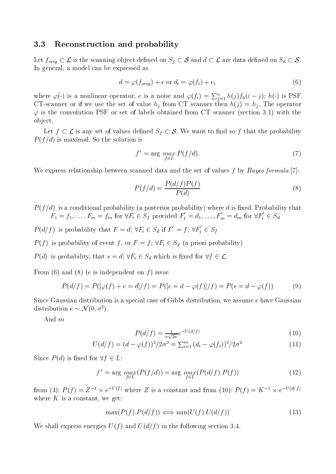#### 3.3Reconstruction and probability

 $L_{\text{c}}$  for  $\alpha$  is the scanning object density of  $L_{\text{c}}$   $\alpha$  and d  $\alpha$  are data denote denote  $\alpha$   $\alpha$  on S In general, a model can be expressed as

$$
d = \varphi(f_{orig}) + e \text{ or } d_i = \varphi(f_i) + e_i \tag{6}
$$

where  $\varphi(\cdot)$  is a nonlinear operator, e is a noise and  $\varphi(f_i) = \sum_{i=1}^a h(j) f_0(i-j)$ ;  $h(\cdot)$  is PSF  $\mathcal{L}=\mathcal{L}$  scanner or if we use the set of value  $\mathcal{L}=\mathcal{L}$  scanner then help . The operator operator  $\mathcal{L}=\mathcal{L}$  $\varphi$  is the convolution PSF or set of labels obtained from CT scanner (section 3.1) with the ob ject.

Let for any set of values denotes denote on the probability of the probability of the probability of the probability of the probability of the probability of the probability of the probability of the probability of the pr  $P(f/d)$  is maximal. So the solution is

$$
f^* = \arg\max_{f \in I} P(f/d). \tag{7}
$$

We express relationship between scanned data and the set of values f by Bayes formula [7]:

f2L

$$
P(f/d) = \frac{P(d/f)P(f)}{P(d)}\tag{8}
$$

 $P(f/d)$  is a conditional probability (a posterior probability) where d is fixed. Probability that  $F_1 = f_1, \ldots, F_m = f_m$  for  $\forall F_i \in S_f$  provided  $F_1 = d_1, \ldots, F_m = d_m$  for  $\forall F_i \in S_d$ 

 $P(d/f)$  is probability that  $F = d$ ;  $\forall F_i \in S_d$  if  $F = f$ ;  $\forall F_i \in S_f$ 

Probability of event f  $f$  , or  $f$  is probability of event f , or  $f$  ,  $f$  ,  $f$  ,  $f$  ,  $f$  ,  $f$  ,  $f$  ,  $f$  ,  $f$  ,  $f$  ,  $f$  ,  $f$  ,  $f$  ,  $f$  ,  $f$  ,  $f$  ,  $f$  ,  $f$  ,  $f$  ,  $f$  ,  $f$  ,  $f$  ,  $f$  ,  $f$  ,  $f$  ,  $f$ 

 $\lambda$  is probability, the s  $\mu$  s  $\mu$  is  $\mu$  and  $\mu$  is  $\mu$  and  $\mu$  is  $\mu$  and  $\mu$  is  $\mu$ .

From (6) and (8) (e is independent on f) issue

$$
P(d/f) = P([\varphi(f) + e = d]/f) = P([e = d - \varphi(f)]/f) = P(e = d - \varphi(f))
$$
(9)

Since Gaussian distribution is a special case of Gibbs distribution, we assume  $e$  have Gaussian distribution  $e \sim N(0, \sigma)$ .

And so

$$
P(d/f) = \frac{1}{\sigma\sqrt{2\pi}}e^{-U(d/f)}\tag{10}
$$

$$
U(d/f) = (d - \varphi(f))^2 / 2\sigma^2 = \sum_{i=1}^m (d_i - \varphi(f_i))^2 / 2\sigma^2
$$
\n(11)

Since  $P(d)$  is fixed for  $\forall f \in L$ :

$$
f^* = \arg\max_{f \in L} (P(f/d)) = \arg\max_{f \in L} (P(d/f).P(f))
$$
\n(12)

from (4):  $P(T) = Z^T \times e^{-\epsilon_0 t}$ , where Z is a constant and from (10):  $P(T) = K^T \times e^{-\epsilon_0 t}$ where  $K$  is a constant, we get:

$$
\max(P(f).P(d/f)) \iff \min(U(f).U(d/f))
$$
\n(13)

We shall express energies  $U(f)$  and  $U(d/f)$  in the following section 3.4.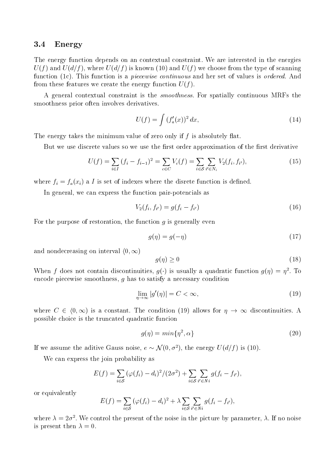#### 3.4Energy

The energy function depends on an contextual constraint. We are interested in the energies  $U(f)$  and  $U(d/f)$ , where  $U(d/f)$  is known (10) and  $U(f)$  we choose from the type of scanning function (1c). This function is a *piecewise continuous* and her set of values is *ordered*. And from these features we create the energy function  $U(f)$ .

A general contextual constraint is the smoothness. For spatially continuous MRFs the smoothness prior often involves derivatives.

$$
U(f) = \int (f'_a(x))^2 dx,
$$
 (14)

The energy takes the minimum value of zero only if  $f$  is absolutely flat.

But we use discrete values so we use the first order approximation of the first derivative

$$
U(f) = \sum_{i \in I} (f_i - f_{i-1})^2 = \sum_{c \in C} V_c(f) = \sum_{i \in S} \sum_{i' \in N_i} V_2(f_i, f_{i'}),
$$
\n(15)

where fi  $f(x) = f(x)$  is set of indexes where the disrete function is defined.

In general, we can express the function pair-potencials as

$$
V_2(f_i, f_{i'}) = g(f_i - f_{i'}) \tag{16}
$$

For the purpose of restoration, the function  $q$  is generally even

$$
g(\eta) = g(-\eta) \tag{17}
$$

and nondecreasing on interval  $(0, \infty)$ 

$$
g(\eta) \ge 0 \tag{18}
$$

when f does not contain discontinuities,  $q(\cdot)$  is usually a quadratic function  $q(\eta) = \eta$ . To encode piecewise smoothness, g has to satisfy a necessary condition

$$
\lim_{\eta \to \infty} |g'(\eta)| = C < \infty,\tag{19}
$$

where  $C$  2 is a constant of constant. The constant  $\{1,2\}$  allows for  $H$  all  $H$  and  $H$  allows for  $H$ possible choice is the truncated quadratic funcion

$$
g(\eta) = \min\{\eta^2, \alpha\} \tag{20}
$$

If we assume the aditive Gauss noise,  $e \sim \mathcal{N}(0, \sigma^2)$ , the energy  $U(d/f)$  is (10).

We can express the join probability as

$$
E(f) = \sum_{i \in S} (\varphi(f_i) - d_i)^2 / (2\sigma^2) + \sum_{i \in S} \sum_{i' \in N_i} g(f_i - f_{i'}),
$$

or equivalently

$$
E(f) = \sum_{i \in S} (\varphi(f_i) - d_i)^2 + \lambda \sum_{i \in S} \sum_{i' \in N_i} g(f_i - f_{i'}),
$$

where  $\lambda = z_0$ . We control the present of the hoise in the picture by parameter,  $\lambda$ . If no noise is present then  $\lambda = 0$ .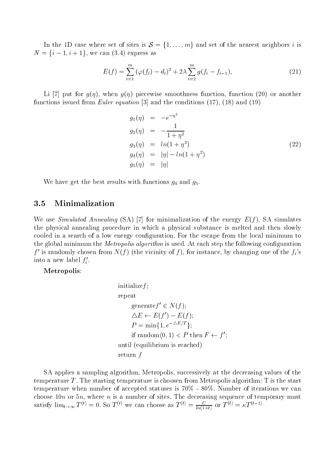In the 1D case where set of sites is S <sup>=</sup> f1;:::;mg and set of the nearest neighbors <sup>i</sup> is  $N = \{i - 1, i + 1\}$ , we can  $(3.4)$  express as

$$
E(f) = \sum_{i=1}^{m} (\varphi(f_i) - d_i)^2 + 2\lambda \sum_{i=2}^{m} g(f_i - f_{i-1}),
$$
\n(21)

Li [7] put for  $g(\eta)$ , when  $g(\eta)$  piecewise smoothness function, function (20) or another functions issued from *Euler equation* [3] and the conditions  $(17)$ ,  $(18)$  and  $(19)$ 

$$
g_1(\eta) = -e^{-\eta^2}
$$
  
\n
$$
g_2(\eta) = -\frac{1}{1+\eta^2}
$$
  
\n
$$
g_3(\eta) = \ln(1+\eta^2)
$$
  
\n
$$
g_4(\eta) = |\eta| - \ln(1+\eta^2)
$$
  
\n
$$
g_5(\eta) = |\eta|
$$
\n(22)

We have get the best results with functions  $g_4$  and  $g_5$ .

#### 3.5Minimalization

We use Simulated Annealing (SA) [7] for minimalization of the energy  $E(f)$ . SA simulates the physical annealing procedure in which a physical substance is melted and then slowly cooled in a search of a low energy configuration. For the escape from the local minimum to the global minimum the *Metropolis algorithm* is used. At each step the following configuration  $f'$  is randomly chosen from  $N(f)$  (the vicinity of f), for instance, by changing one of the  $f_i$ 's into a new label  $f_i'$ .

Metropolis:

$$
\begin{aligned}\n\text{initialize} & f; \\
\text{repeat} \\
& \text{generate} & f' \in N(f); \\
\Delta E \leftarrow E(f') - E(f); \\
P & = \min\{1, e^{-\Delta E/T}\}; \\
\text{if random}\langle 0, 1 \rangle < P \text{ then } F \leftarrow f'; \\
\text{until (equilibrium is reached)} \\
\text{return } f\n\end{aligned}
$$

SA applies a sampling algorithm, Metropolis, successively at the decreasing values of the temperature  $T$ . The starting temperature is choosen from Metropolis algorithm:  $T$  is the start temperature when number of accepted statuses is 70% - 80%. Number of iterations we can choose 10n or 5n, where n is a number of sites. The decreasing sequence of temporary must satisfy  $\lim_{t\to\infty} I^{(t)} = 0$ . So  $I^{(t)}$  we can choose as  $I^{(t)} = \frac{I^{(t)}(1+t)}{I^{(t)}(1+t)}$  or  $I^{(t)} = \kappa I^{(t-1)}$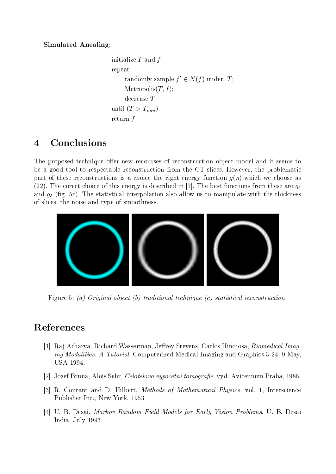Simulated Anealing:

```
initialize T and f;
repeat
     randomly sample \bar{I} \in N(I) under I;
    Metropolis(T, f);
    decrease T;
until (T > T_{min})return f
```
### $\overline{\mathcal{A}}$ Conclusions

The proposed technique offer new recourses of reconstruction object model and it seems to be a good tool to respectable reconstruction from the CT slices. However, the problematic part of these reconstructions is a choice the right energy function  $q(\eta)$  which we choose as (22). The corect choice of this energy is described in [7]. The best functions from these are  $q_4$ and  $g_5$  (fig. 5c). The statistical interpolation also allow us to manipulate with the thickness of slices, the noise and type of smoothness.



Figure 5: (a) Original object (b) traditional technique (c) statistical reconstruction

# References

- [1] Raj Acharya, Richard Wasserman, Jeffrey Stevens, Carlos Hinojosa, *Biomedical Imag*ing Modalities: A Tutorial. Computerized Medical Imaging and Graphics 3-24, 9 May, USA 1994.
- [2] Jozef Bruna, Alois Sehr, *Celotelova vypocetni tomografie*. vyd. Avicennum Praha, 1988.
- [3] R. Courant and D. Hilbert, Methods of Mathematical Physics. vol. 1, Interscience Publisher Inc., New York, 1953
- [4] U. B. Desai, Markov Random Field Models for Early Vision Problems. U. B. Desai India, July 1993.